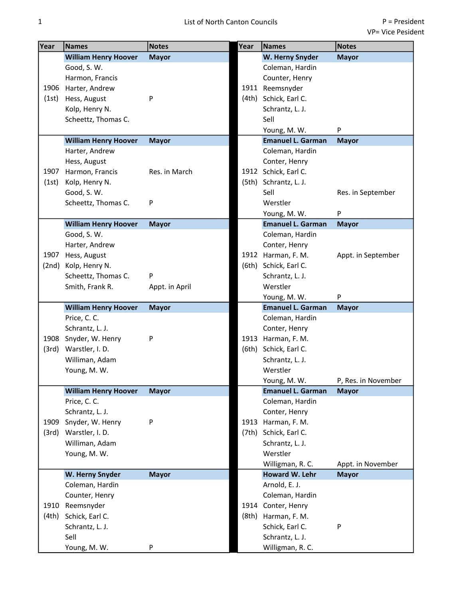| Year  | Names                       | <b>Notes</b>   | Year  | <b>Names</b>             | <b>Notes</b>        |
|-------|-----------------------------|----------------|-------|--------------------------|---------------------|
|       | <b>William Henry Hoover</b> | <b>Mayor</b>   |       | W. Herny Snyder          | <b>Mayor</b>        |
|       | Good, S. W.                 |                |       | Coleman, Hardin          |                     |
|       | Harmon, Francis             |                |       | Counter, Henry           |                     |
|       | 1906 Harter, Andrew         |                | 1911  | Reemsnyder               |                     |
| (1st) | Hess, August                | P              | (4th) | Schick, Earl C.          |                     |
|       | Kolp, Henry N.              |                |       | Schrantz, L. J.          |                     |
|       | Scheettz, Thomas C.         |                |       | Sell                     |                     |
|       |                             |                |       | Young, M. W.             | P                   |
|       | <b>William Henry Hoover</b> | <b>Mayor</b>   |       | <b>Emanuel L. Garman</b> | <b>Mayor</b>        |
|       | Harter, Andrew              |                |       | Coleman, Hardin          |                     |
|       | Hess, August                |                |       | Conter, Henry            |                     |
| 1907  | Harmon, Francis             | Res. in March  |       | 1912 Schick, Earl C.     |                     |
| (1st) | Kolp, Henry N.              |                | (5th) | Schrantz, L. J.          |                     |
|       | Good, S. W.                 |                |       | Sell                     | Res. in September   |
|       | Scheettz, Thomas C.         | P              |       | Werstler                 |                     |
|       |                             |                |       | Young, M. W.             | P                   |
|       | <b>William Henry Hoover</b> | <b>Mayor</b>   |       | <b>Emanuel L. Garman</b> | <b>Mayor</b>        |
|       | Good, S. W.                 |                |       | Coleman, Hardin          |                     |
|       | Harter, Andrew              |                |       | Conter, Henry            |                     |
| 1907  | Hess, August                |                |       | 1912 Harman, F. M.       | Appt. in September  |
| (2nd) | Kolp, Henry N.              |                | (6th) | Schick, Earl C.          |                     |
|       | Scheettz, Thomas C.         | P              |       | Schrantz, L. J.          |                     |
|       | Smith, Frank R.             | Appt. in April |       | Werstler                 |                     |
|       |                             |                |       | Young, M. W.             | P                   |
|       | <b>William Henry Hoover</b> | <b>Mayor</b>   |       | <b>Emanuel L. Garman</b> | <b>Mayor</b>        |
|       | Price, C. C.                |                |       | Coleman, Hardin          |                     |
|       | Schrantz, L. J.             |                |       | Conter, Henry            |                     |
|       | 1908 Snyder, W. Henry       | P              |       | 1913 Harman, F. M.       |                     |
| (3rd) | Warstler, I.D.              |                | (6th) | Schick, Earl C.          |                     |
|       | Williman, Adam              |                |       | Schrantz, L. J.          |                     |
|       | Young, M. W.                |                |       | Werstler                 |                     |
|       |                             |                |       | Young, M. W.             | P, Res. in November |
|       | <b>William Henry Hoover</b> | <b>Mayor</b>   |       | <b>Emanuel L. Garman</b> | <b>Mayor</b>        |
|       | Price, C. C.                |                |       | Coleman, Hardin          |                     |
|       | Schrantz, L. J.             |                |       | Conter, Henry            |                     |
| 1909  | Snyder, W. Henry            | P              | 1913  | Harman, F. M.            |                     |
| (3rd) | Warstler, I.D.              |                | (7th) | Schick, Earl C.          |                     |
|       | Williman, Adam              |                |       | Schrantz, L. J.          |                     |
|       | Young, M. W.                |                |       | Werstler                 |                     |
|       |                             |                |       | Willigman, R. C.         | Appt. in November   |
|       | W. Herny Snyder             | <b>Mayor</b>   |       | <b>Howard W. Lehr</b>    | <b>Mayor</b>        |
|       | Coleman, Hardin             |                |       | Arnold, E. J.            |                     |
|       | Counter, Henry              |                |       | Coleman, Hardin          |                     |
| 1910  | Reemsnyder                  |                |       | 1914 Conter, Henry       |                     |
| (4th) | Schick, Earl C.             |                | (8th) | Harman, F. M.            |                     |
|       | Schrantz, L. J.             |                |       | Schick, Earl C.          | P                   |
|       | Sell                        |                |       | Schrantz, L. J.          |                     |
|       | Young, M. W.                | P              |       | Willigman, R. C.         |                     |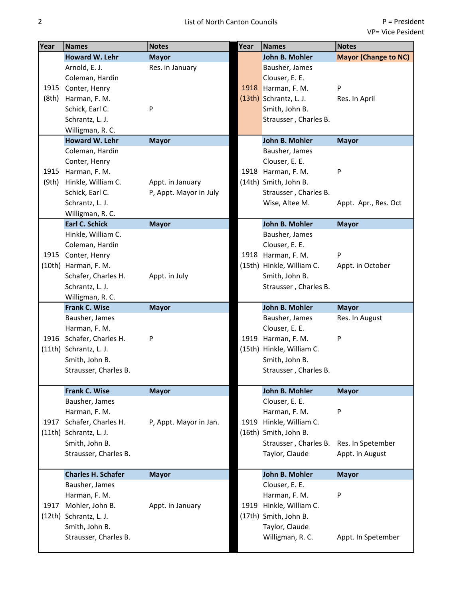| Year  | <b>Names</b>              | <b>Notes</b>           | Year | <b>Names</b>              | <b>Notes</b>                |
|-------|---------------------------|------------------------|------|---------------------------|-----------------------------|
|       | Howard W. Lehr            | <b>Mayor</b>           |      | John B. Mohler            | <b>Mayor (Change to NC)</b> |
|       | Arnold, E. J.             | Res. in January        |      | Bausher, James            |                             |
|       | Coleman, Hardin           |                        |      | Clouser, E. E.            |                             |
|       | 1915 Conter, Henry        |                        |      | 1918 Harman, F. M.        | P                           |
| (8th) | Harman, F. M.             |                        |      | $(13th)$ Schrantz, L. J.  | Res. In April               |
|       | Schick, Earl C.           | P                      |      | Smith, John B.            |                             |
|       | Schrantz, L. J.           |                        |      | Strausser, Charles B.     |                             |
|       | Willigman, R. C.          |                        |      |                           |                             |
|       | Howard W. Lehr            | <b>Mayor</b>           |      | John B. Mohler            | <b>Mayor</b>                |
|       | Coleman, Hardin           |                        |      | Bausher, James            |                             |
|       | Conter, Henry             |                        |      | Clouser, E. E.            |                             |
| 1915  | Harman, F. M.             |                        |      | 1918 Harman, F. M.        | P                           |
| (9th) | Hinkle, William C.        | Appt. in January       |      | (14th) Smith, John B.     |                             |
|       | Schick, Earl C.           | P, Appt. Mayor in July |      | Strausser, Charles B.     |                             |
|       | Schrantz, L. J.           |                        |      | Wise, Altee M.            | Appt. Apr., Res. Oct        |
|       | Willigman, R. C.          |                        |      |                           |                             |
|       | <b>Earl C. Schick</b>     | <b>Mayor</b>           |      | John B. Mohler            | <b>Mayor</b>                |
|       | Hinkle, William C.        |                        |      | Bausher, James            |                             |
|       | Coleman, Hardin           |                        |      | Clouser, E. E.            |                             |
|       | 1915 Conter, Henry        |                        |      | 1918 Harman, F. M.        | P                           |
|       | (10th) Harman, F. M.      |                        |      | (15th) Hinkle, William C. | Appt. in October            |
|       | Schafer, Charles H.       | Appt. in July          |      | Smith, John B.            |                             |
|       | Schrantz, L. J.           |                        |      | Strausser, Charles B.     |                             |
|       | Willigman, R. C.          |                        |      |                           |                             |
|       | Frank C. Wise             | <b>Mayor</b>           |      | John B. Mohler            | <b>Mayor</b>                |
|       | Bausher, James            |                        |      | Bausher, James            | Res. In August              |
|       | Harman, F. M.             |                        |      | Clouser, E. E.            |                             |
| 1916  | Schafer, Charles H.       | P                      | 1919 | Harman, F. M.             | P                           |
|       | (11th) Schrantz, L. J.    |                        |      | (15th) Hinkle, William C. |                             |
|       | Smith, John B.            |                        |      | Smith, John B.            |                             |
|       | Strausser, Charles B.     |                        |      | Strausser, Charles B.     |                             |
|       | Frank C. Wise             | <b>Mayor</b>           |      | John B. Mohler            | <b>Mayor</b>                |
|       | Bausher, James            |                        |      | Clouser, E. E.            |                             |
|       | Harman, F. M.             |                        |      | Harman, F. M.             | P                           |
| 1917  | Schafer, Charles H.       | P, Appt. Mayor in Jan. |      | 1919 Hinkle, William C.   |                             |
|       | (11th) Schrantz, L. J.    |                        |      | (16th) Smith, John B.     |                             |
|       | Smith, John B.            |                        |      | Strausser, Charles B.     | Res. In Spetember           |
|       | Strausser, Charles B.     |                        |      | Taylor, Claude            | Appt. in August             |
|       |                           |                        |      |                           |                             |
|       | <b>Charles H. Schafer</b> | <b>Mayor</b>           |      | John B. Mohler            | <b>Mayor</b>                |
|       | Bausher, James            |                        |      | Clouser, E. E.            |                             |
|       | Harman, F. M.             |                        |      | Harman, F. M.             | P                           |
| 1917  | Mohler, John B.           | Appt. in January       |      | 1919 Hinkle, William C.   |                             |
|       | (12th) Schrantz, L. J.    |                        |      | (17th) Smith, John B.     |                             |
|       | Smith, John B.            |                        |      | Taylor, Claude            |                             |
|       | Strausser, Charles B.     |                        |      | Willigman, R. C.          | Appt. In Spetember          |
|       |                           |                        |      |                           |                             |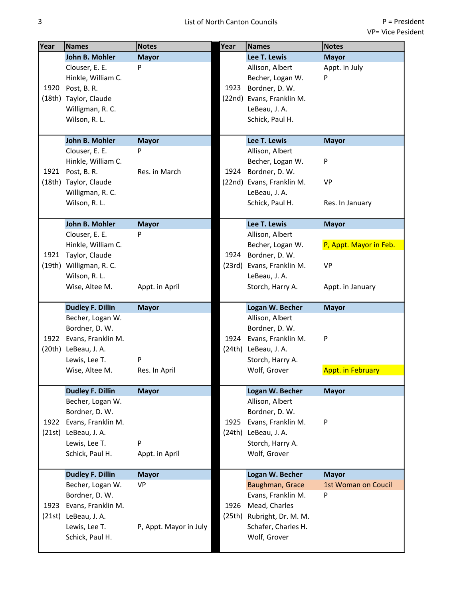| Year | <b>Names</b>            | <b>Notes</b>           | Year                                   | <b>Names</b>               | <b>Notes</b>             |
|------|-------------------------|------------------------|----------------------------------------|----------------------------|--------------------------|
|      | John B. Mohler          | <b>Mayor</b>           |                                        | Lee T. Lewis               | <b>Mayor</b>             |
|      | Clouser, E. E.          | P                      |                                        | Allison, Albert            | Appt. in July            |
|      | Hinkle, William C.      |                        |                                        | Becher, Logan W.           | P                        |
| 1920 | Post, B.R.              |                        | 1923<br>1924<br>1924<br>1924<br>(24th) | Bordner, D. W.             |                          |
|      | (18th) Taylor, Claude   |                        |                                        | (22nd) Evans, Franklin M.  |                          |
|      | Willigman, R. C.        |                        |                                        | LeBeau, J. A.              |                          |
|      | Wilson, R. L.           |                        |                                        | Schick, Paul H.            |                          |
|      | John B. Mohler          | <b>Mayor</b>           |                                        | Lee T. Lewis               | <b>Mayor</b>             |
|      | Clouser, E. E.          | P                      |                                        | Allison, Albert            |                          |
|      | Hinkle, William C.      |                        |                                        | Becher, Logan W.           | P                        |
|      | 1921 Post, B. R.        | Res. in March          |                                        | Bordner, D. W.             |                          |
|      | (18th) Taylor, Claude   |                        |                                        | (22nd) Evans, Franklin M.  | <b>VP</b>                |
|      | Willigman, R. C.        |                        |                                        | LeBeau, J. A.              |                          |
|      | Wilson, R. L.           |                        |                                        | Schick, Paul H.            | Res. In January          |
|      |                         |                        |                                        |                            |                          |
|      | John B. Mohler          | <b>Mayor</b>           |                                        | Lee T. Lewis               | <b>Mayor</b>             |
|      | Clouser, E. E.          | Þ                      |                                        | Allison, Albert            |                          |
|      | Hinkle, William C.      |                        |                                        | Becher, Logan W.           | P, Appt. Mayor in Feb.   |
| 1921 | Taylor, Claude          |                        |                                        | Bordner, D. W.             |                          |
|      | (19th) Willigman, R. C. |                        |                                        | (23rd) Evans, Franklin M.  | <b>VP</b>                |
|      | Wilson, R. L.           |                        |                                        | LeBeau, J. A.              |                          |
|      | Wise, Altee M.          | Appt. in April         |                                        | Storch, Harry A.           | Appt. in January         |
|      | <b>Dudley F. Dillin</b> | <b>Mayor</b>           |                                        | Logan W. Becher            | <b>Mayor</b>             |
|      | Becher, Logan W.        |                        |                                        | Allison, Albert            |                          |
|      | Bordner, D. W.          |                        |                                        | Bordner, D. W.             |                          |
|      | 1922 Evans, Franklin M. |                        |                                        | Evans, Franklin M.         | P                        |
|      | (20th) LeBeau, J. A.    |                        |                                        | LeBeau, J. A.              |                          |
|      | Lewis, Lee T.           | P                      |                                        | Storch, Harry A.           |                          |
|      | Wise, Altee M.          | Res. In April          |                                        | Wolf, Grover               | <b>Appt. in February</b> |
|      | <b>Dudley F. Dillin</b> | <b>Mayor</b>           |                                        | Logan W. Becher            | <b>Mayor</b>             |
|      | Becher, Logan W.        |                        |                                        | Allison, Albert            |                          |
|      | Bordner, D. W.          |                        |                                        | Bordner, D. W.             |                          |
| 1922 | Evans, Franklin M.      |                        | 1925                                   | Evans, Franklin M.         | P                        |
|      | (21st) LeBeau, J. A.    |                        |                                        | (24th) LeBeau, J. A.       |                          |
|      | Lewis, Lee T.           | P                      |                                        | Storch, Harry A.           |                          |
|      | Schick, Paul H.         | Appt. in April         |                                        | Wolf, Grover               |                          |
|      | <b>Dudley F. Dillin</b> | <b>Mayor</b>           |                                        | Logan W. Becher            | <b>Mayor</b>             |
|      | Becher, Logan W.        | <b>VP</b>              |                                        | Baughman, Grace            | 1st Woman on Coucil      |
|      | Bordner, D. W.          |                        |                                        | Evans, Franklin M.         | P                        |
| 1923 | Evans, Franklin M.      |                        | 1926                                   | Mead, Charles              |                          |
|      | (21st) LeBeau, J. A.    |                        |                                        | (25th) Rubright, Dr. M. M. |                          |
|      | Lewis, Lee T.           | P, Appt. Mayor in July |                                        | Schafer, Charles H.        |                          |
|      | Schick, Paul H.         |                        |                                        | Wolf, Grover               |                          |
|      |                         |                        |                                        |                            |                          |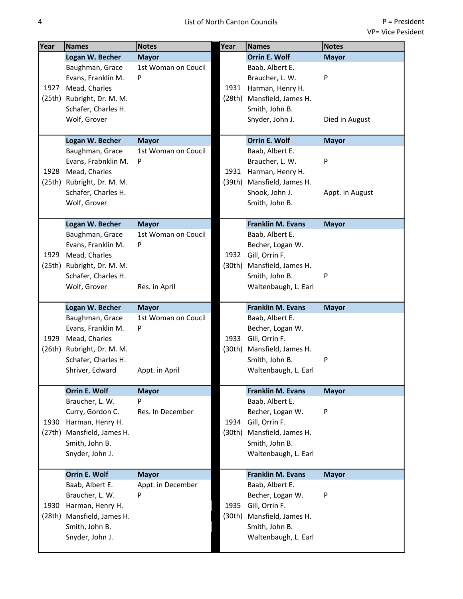| Year   | Names                                      | <b>Notes</b>        | Year   | Names                                  | <b>Notes</b>    |
|--------|--------------------------------------------|---------------------|--------|----------------------------------------|-----------------|
|        | Logan W. Becher                            | <b>Mayor</b>        |        | Orrin E. Wolf                          | <b>Mayor</b>    |
|        | Baughman, Grace                            | 1st Woman on Coucil |        | Baab, Albert E.                        |                 |
|        | Evans, Franklin M.                         | P                   |        | Braucher, L. W.                        | ${\sf P}$       |
| 1927   | Mead, Charles                              |                     | 1931   | Harman, Henry H.                       |                 |
|        | (25th) Rubright, Dr. M. M.                 |                     | (28th) | Mansfield, James H.                    |                 |
|        | Schafer, Charles H.                        |                     |        | Smith, John B.                         |                 |
|        | Wolf, Grover                               |                     |        | Snyder, John J.                        | Died in August  |
|        |                                            |                     |        |                                        |                 |
|        | Logan W. Becher                            | <b>Mayor</b>        |        | <b>Orrin E. Wolf</b>                   | <b>Mayor</b>    |
|        | Baughman, Grace                            | 1st Woman on Coucil |        | Baab, Albert E.                        | ${\sf P}$       |
|        | Evans, Frabnklin M.                        | P                   |        | Braucher, L. W.                        |                 |
| 1928   | Mead, Charles                              |                     | 1931   | Harman, Henry H.                       |                 |
|        | (25th) Rubright, Dr. M. M.                 |                     | (39th) | Mansfield, James H.                    |                 |
|        | Schafer, Charles H.<br>Wolf, Grover        |                     |        | Shook, John J.<br>Smith, John B.       | Appt. in August |
|        |                                            |                     |        |                                        |                 |
|        | Logan W. Becher                            | <b>Mayor</b>        |        | <b>Franklin M. Evans</b>               | <b>Mayor</b>    |
|        | Baughman, Grace                            | 1st Woman on Coucil |        | Baab, Albert E.                        |                 |
|        | Evans, Franklin M.                         | P                   |        | Becher, Logan W.                       |                 |
| 1929   | Mead, Charles                              |                     | 1932   | Gill, Orrin F.                         |                 |
|        | (25th) Rubright, Dr. M. M.                 |                     | (30th) | Mansfield, James H.                    |                 |
|        | Schafer, Charles H.                        |                     |        | Smith, John B.                         | P               |
|        | Wolf, Grover                               | Res. in April       |        | Waltenbaugh, L. Earl                   |                 |
|        |                                            |                     |        |                                        |                 |
|        | Logan W. Becher                            | <b>Mayor</b>        |        | <b>Franklin M. Evans</b>               | <b>Mayor</b>    |
|        | Baughman, Grace                            | 1st Woman on Coucil |        | Baab, Albert E.                        |                 |
|        | Evans, Franklin M.                         | P                   |        | Becher, Logan W.                       |                 |
| 1929   | Mead, Charles                              |                     | 1933   | Gill, Orrin F.                         |                 |
| (26th) | Rubright, Dr. M. M.<br>Schafer, Charles H. |                     | (30th) | Mansfield, James H.                    | P               |
|        | Shriver, Edward                            | Appt. in April      |        | Smith, John B.<br>Waltenbaugh, L. Earl |                 |
|        |                                            |                     |        |                                        |                 |
|        | <b>Orrin E. Wolf</b>                       | <b>Mayor</b>        |        | <b>Franklin M. Evans</b>               | <b>Mayor</b>    |
|        | Braucher, L. W.                            | P                   |        | Baab, Albert E.                        |                 |
|        | Curry, Gordon C.                           | Res. In December    |        | Becher, Logan W.                       | P               |
| 1930   | Harman, Henry H.                           |                     | 1934   | Gill, Orrin F.                         |                 |
|        | (27th) Mansfield, James H.                 |                     |        | (30th) Mansfield, James H.             |                 |
|        | Smith, John B.                             |                     |        | Smith, John B.                         |                 |
|        | Snyder, John J.                            |                     |        | Waltenbaugh, L. Earl                   |                 |
|        | <b>Orrin E. Wolf</b>                       | <b>Mayor</b>        |        | <b>Franklin M. Evans</b>               | <b>Mayor</b>    |
|        | Baab, Albert E.                            | Appt. in December   |        | Baab, Albert E.                        |                 |
|        | Braucher, L. W.                            | P                   |        | Becher, Logan W.                       | P               |
| 1930   | Harman, Henry H.                           |                     | 1935   | Gill, Orrin F.                         |                 |
|        | (28th) Mansfield, James H.                 |                     | (30th) | Mansfield, James H.                    |                 |
|        | Smith, John B.                             |                     |        | Smith, John B.                         |                 |
|        | Snyder, John J.                            |                     |        | Waltenbaugh, L. Earl                   |                 |
|        |                                            |                     |        |                                        |                 |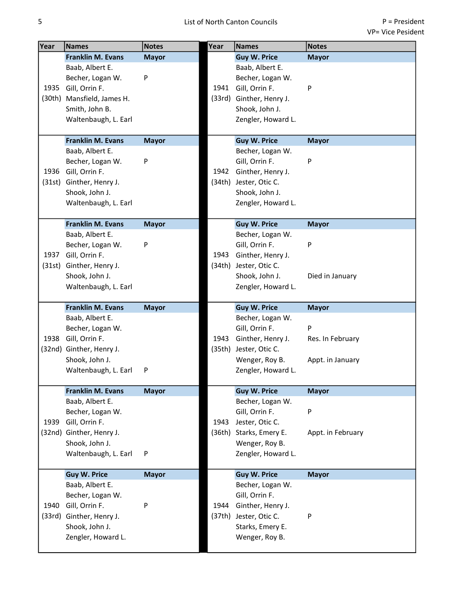| Year   | <b>Names</b>                           | <b>Notes</b> | Year           | <b>Names</b>                         | <b>Notes</b>      |
|--------|----------------------------------------|--------------|----------------|--------------------------------------|-------------------|
|        | <b>Franklin M. Evans</b>               | <b>Mayor</b> |                | <b>Guy W. Price</b>                  | <b>Mayor</b>      |
|        | Baab, Albert E.                        |              |                | Baab, Albert E.                      |                   |
|        | Becher, Logan W.                       | P            |                | Becher, Logan W.                     |                   |
| 1935   | Gill, Orrin F.                         |              | 1941           | Gill, Orrin F.                       | P                 |
|        | (30th) Mansfield, James H.             |              | (33rd)         | Ginther, Henry J.                    |                   |
|        | Smith, John B.                         |              |                | Shook, John J.                       |                   |
|        | Waltenbaugh, L. Earl                   |              |                | Zengler, Howard L.                   |                   |
|        |                                        |              |                |                                      |                   |
|        | <b>Franklin M. Evans</b>               | <b>Mayor</b> |                | <b>Guy W. Price</b>                  | <b>Mayor</b>      |
|        | Baab, Albert E.                        |              |                | Becher, Logan W.                     |                   |
|        | Becher, Logan W.                       | P            |                | Gill, Orrin F.                       | P                 |
| 1936   | Gill, Orrin F.                         |              | 1942           | Ginther, Henry J.                    |                   |
| (31st) | Ginther, Henry J.                      |              |                | (34th) Jester, Otic C.               |                   |
|        | Shook, John J.                         |              |                | Shook, John J.                       |                   |
|        | Waltenbaugh, L. Earl                   |              |                | Zengler, Howard L.                   |                   |
|        | <b>Franklin M. Evans</b>               |              |                | <b>Guy W. Price</b>                  |                   |
|        | Baab, Albert E.                        | <b>Mayor</b> |                | Becher, Logan W.                     | <b>Mayor</b>      |
|        | Becher, Logan W.                       | P            |                | Gill, Orrin F.                       | P                 |
| 1937   | Gill, Orrin F.                         |              | 1943           | Ginther, Henry J.                    |                   |
| (31st) | Ginther, Henry J.                      |              |                | (34th) Jester, Otic C.               |                   |
|        | Shook, John J.                         |              |                | Shook, John J.                       | Died in January   |
|        | Waltenbaugh, L. Earl                   |              |                |                                      |                   |
|        |                                        |              |                | Zengler, Howard L.                   |                   |
|        | <b>Franklin M. Evans</b>               | <b>Mayor</b> |                | <b>Guy W. Price</b>                  | <b>Mayor</b>      |
|        | Baab, Albert E.                        |              |                | Becher, Logan W.                     |                   |
|        | Becher, Logan W.                       |              |                | Gill, Orrin F.                       | P                 |
| 1938   | Gill, Orrin F.                         |              | 1943           | Ginther, Henry J.                    | Res. In February  |
|        | (32nd) Ginther, Henry J.               |              | (35th)         | Jester, Otic C.                      |                   |
|        | Shook, John J.                         |              |                | Wenger, Roy B.                       | Appt. in January  |
|        | Waltenbaugh, L. Earl                   | P            |                | Zengler, Howard L.                   |                   |
|        |                                        |              |                |                                      |                   |
|        | <b>Franklin M. Evans</b>               | <b>Mayor</b> |                | <b>Guy W. Price</b>                  | <b>Mayor</b>      |
|        | Baab, Albert E.                        |              |                | Becher, Logan W.                     |                   |
|        | Becher, Logan W.                       |              |                | Gill, Orrin F.                       | P                 |
| 1939   | Gill, Orrin F.                         |              | 1943<br>(36th) | Jester, Otic C.                      |                   |
|        | (32nd) Ginther, Henry J.               |              |                | Starks, Emery E.                     | Appt. in February |
|        | Shook, John J.<br>Waltenbaugh, L. Earl | P            |                | Wenger, Roy B.<br>Zengler, Howard L. |                   |
|        |                                        |              |                |                                      |                   |
|        | <b>Guy W. Price</b>                    | <b>Mayor</b> |                | <b>Guy W. Price</b>                  | <b>Mayor</b>      |
|        | Baab, Albert E.                        |              |                | Becher, Logan W.                     |                   |
|        | Becher, Logan W.                       |              |                | Gill, Orrin F.                       |                   |
| 1940   | Gill, Orrin F.                         | P            | 1944           | Ginther, Henry J.                    |                   |
|        | (33rd) Ginther, Henry J.               |              |                | (37th) Jester, Otic C.               | P                 |
|        | Shook, John J.                         |              |                | Starks, Emery E.                     |                   |
|        | Zengler, Howard L.                     |              |                | Wenger, Roy B.                       |                   |
|        |                                        |              |                |                                      |                   |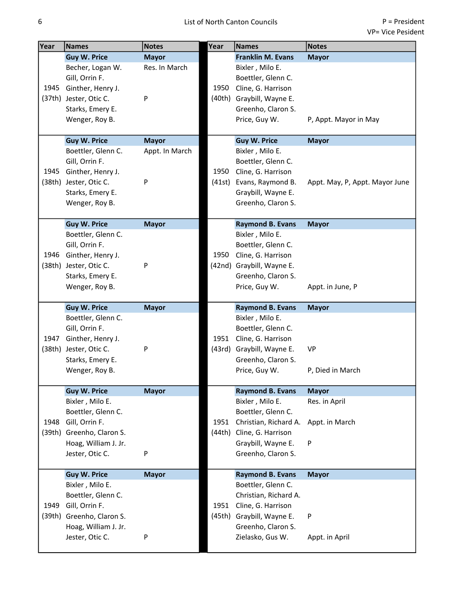| Year | <b>Names</b>              | <b>Notes</b>   | Year   | <b>Names</b>              | <b>Notes</b>                   |
|------|---------------------------|----------------|--------|---------------------------|--------------------------------|
|      | <b>Guy W. Price</b>       | <b>Mayor</b>   |        | <b>Franklin M. Evans</b>  | <b>Mayor</b>                   |
|      | Becher, Logan W.          | Res. In March  |        | Bixler, Milo E.           |                                |
|      | Gill, Orrin F.            |                |        | Boettler, Glenn C.        |                                |
| 1945 | Ginther, Henry J.         |                | 1950   | Cline, G. Harrison        |                                |
|      | (37th) Jester, Otic C.    | P              | (40th) | Graybill, Wayne E.        |                                |
|      | Starks, Emery E.          |                |        | Greenho, Claron S.        |                                |
|      | Wenger, Roy B.            |                |        | Price, Guy W.             | P, Appt. Mayor in May          |
|      |                           |                |        |                           |                                |
|      | <b>Guy W. Price</b>       | <b>Mayor</b>   |        | <b>Guy W. Price</b>       | <b>Mayor</b>                   |
|      | Boettler, Glenn C.        | Appt. In March |        | Bixler, Milo E.           |                                |
|      | Gill, Orrin F.            |                |        | Boettler, Glenn C.        |                                |
| 1945 | Ginther, Henry J.         |                | 1950   | Cline, G. Harrison        |                                |
|      | (38th) Jester, Otic C.    | P              | (41st) | Evans, Raymond B.         | Appt. May, P, Appt. Mayor June |
|      | Starks, Emery E.          |                |        | Graybill, Wayne E.        |                                |
|      | Wenger, Roy B.            |                |        | Greenho, Claron S.        |                                |
|      |                           |                |        |                           |                                |
|      | <b>Guy W. Price</b>       | <b>Mayor</b>   |        | <b>Raymond B. Evans</b>   | <b>Mayor</b>                   |
|      | Boettler, Glenn C.        |                |        | Bixler, Milo E.           |                                |
|      | Gill, Orrin F.            |                |        | Boettler, Glenn C.        |                                |
| 1946 | Ginther, Henry J.         |                | 1950   | Cline, G. Harrison        |                                |
|      | (38th) Jester, Otic C.    | P              |        | (42nd) Graybill, Wayne E. |                                |
|      | Starks, Emery E.          |                |        | Greenho, Claron S.        |                                |
|      | Wenger, Roy B.            |                |        | Price, Guy W.             | Appt. in June, P               |
|      |                           |                |        |                           |                                |
|      | <b>Guy W. Price</b>       | <b>Mayor</b>   |        | <b>Raymond B. Evans</b>   | <b>Mayor</b>                   |
|      | Boettler, Glenn C.        |                |        | Bixler, Milo E.           |                                |
|      | Gill, Orrin F.            |                |        | Boettler, Glenn C.        |                                |
| 1947 | Ginther, Henry J.         |                | 1951   | Cline, G. Harrison        |                                |
|      | (38th) Jester, Otic C.    | P              | (43rd) | Graybill, Wayne E.        | <b>VP</b>                      |
|      | Starks, Emery E.          |                |        | Greenho, Claron S.        |                                |
|      | Wenger, Roy B.            |                |        | Price, Guy W.             | P, Died in March               |
|      |                           |                |        |                           |                                |
|      | <b>Guy W. Price</b>       | <b>Mayor</b>   |        | <b>Raymond B. Evans</b>   | <b>Mayor</b>                   |
|      | Bixler, Milo E.           |                |        | Bixler, Milo E.           | Res. in April                  |
|      | Boettler, Glenn C.        |                |        | Boettler, Glenn C.        |                                |
| 1948 | Gill, Orrin F.            |                | 1951   | Christian, Richard A.     | Appt. in March                 |
|      | (39th) Greenho, Claron S. |                |        | (44th) Cline, G. Harrison |                                |
|      | Hoag, William J. Jr.      |                |        | Graybill, Wayne E.        | P                              |
|      | Jester, Otic C.           | P              |        | Greenho, Claron S.        |                                |
|      | <b>Guy W. Price</b>       | <b>Mayor</b>   |        | <b>Raymond B. Evans</b>   | <b>Mayor</b>                   |
|      | Bixler, Milo E.           |                |        | Boettler, Glenn C.        |                                |
|      | Boettler, Glenn C.        |                |        | Christian, Richard A.     |                                |
| 1949 | Gill, Orrin F.            |                | 1951   | Cline, G. Harrison        |                                |
|      | (39th) Greenho, Claron S. |                |        | (45th) Graybill, Wayne E. | P                              |
|      | Hoag, William J. Jr.      |                |        | Greenho, Claron S.        |                                |
|      | Jester, Otic C.           | P              |        | Zielasko, Gus W.          | Appt. in April                 |
|      |                           |                |        |                           |                                |
|      |                           |                |        |                           |                                |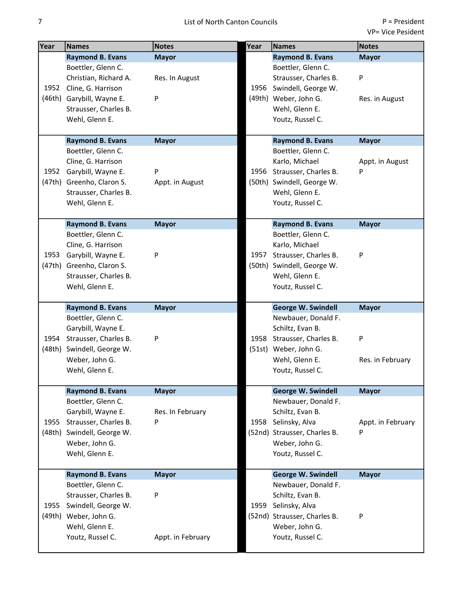| Year | <b>Names</b>                                  | <b>Notes</b>      | Year | <b>Names</b>                                     | Notes             |
|------|-----------------------------------------------|-------------------|------|--------------------------------------------------|-------------------|
|      | <b>Raymond B. Evans</b>                       | <b>Mayor</b>      |      | <b>Raymond B. Evans</b>                          | <b>Mayor</b>      |
|      | Boettler, Glenn C.                            |                   |      | Boettler, Glenn C.                               |                   |
|      | Christian, Richard A.                         | Res. In August    |      | Strausser, Charles B.                            | P                 |
|      | 1952 Cline, G. Harrison                       |                   | 1956 | Swindell, George W.                              |                   |
|      | (46th) Garybill, Wayne E.                     | P                 |      | (49th) Weber, John G.                            | Res. in August    |
|      | Strausser, Charles B.                         |                   |      | Wehl, Glenn E.                                   |                   |
|      | Wehl, Glenn E.                                |                   |      | Youtz, Russel C.                                 |                   |
|      |                                               |                   |      |                                                  |                   |
|      | <b>Raymond B. Evans</b>                       | <b>Mayor</b>      |      | <b>Raymond B. Evans</b>                          | <b>Mayor</b>      |
|      | Boettler, Glenn C.                            |                   |      | Boettler, Glenn C.                               |                   |
|      | Cline, G. Harrison                            |                   |      | Karlo, Michael                                   | Appt. in August   |
| 1952 | Garybill, Wayne E.                            | P                 | 1956 | Strausser, Charles B.                            | P                 |
|      | (47th) Greenho, Claron S.                     | Appt. in August   |      | (50th) Swindell, George W.                       |                   |
|      | Strausser, Charles B.                         |                   |      | Wehl, Glenn E.                                   |                   |
|      | Wehl, Glenn E.                                |                   |      | Youtz, Russel C.                                 |                   |
|      | <b>Raymond B. Evans</b>                       | <b>Mayor</b>      |      | <b>Raymond B. Evans</b>                          | <b>Mayor</b>      |
|      | Boettler, Glenn C.                            |                   |      | Boettler, Glenn C.                               |                   |
|      | Cline, G. Harrison                            |                   |      | Karlo, Michael                                   |                   |
|      | 1953 Garybill, Wayne E.                       | P                 | 1957 | Strausser, Charles B.                            | P                 |
|      | (47th) Greenho, Claron S.                     |                   |      | (50th) Swindell, George W.                       |                   |
|      | Strausser, Charles B.                         |                   |      | Wehl, Glenn E.                                   |                   |
|      | Wehl, Glenn E.                                |                   |      | Youtz, Russel C.                                 |                   |
|      |                                               |                   |      |                                                  |                   |
|      | <b>Raymond B. Evans</b>                       | <b>Mayor</b>      |      | <b>George W. Swindell</b>                        | <b>Mayor</b>      |
|      | Boettler, Glenn C.                            |                   |      | Newbauer, Donald F.                              |                   |
|      | Garybill, Wayne E.                            |                   |      | Schiltz, Evan B.                                 |                   |
| 1954 | Strausser, Charles B.                         | P                 | 1958 | Strausser, Charles B.                            | P                 |
|      | (48th) Swindell, George W.                    |                   |      | (51st) Weber, John G.                            |                   |
|      | Weber, John G.                                |                   |      | Wehl, Glenn E.                                   | Res. in February  |
|      | Wehl, Glenn E.                                |                   |      | Youtz, Russel C.                                 |                   |
|      |                                               |                   |      |                                                  |                   |
|      | <b>Raymond B. Evans</b><br>Boettler, Glenn C. | <b>Mayor</b>      |      | <b>George W. Swindell</b><br>Newbauer, Donald F. | <b>Mayor</b>      |
|      | Garybill, Wayne E.                            | Res. In February  |      | Schiltz, Evan B.                                 |                   |
| 1955 | Strausser, Charles B.                         | P                 | 1958 | Selinsky, Alva                                   | Appt. in February |
|      | (48th) Swindell, George W.                    |                   |      | (52nd) Strausser, Charles B.                     | P                 |
|      | Weber, John G.                                |                   |      | Weber, John G.                                   |                   |
|      | Wehl, Glenn E.                                |                   |      | Youtz, Russel C.                                 |                   |
|      |                                               |                   |      |                                                  |                   |
|      | <b>Raymond B. Evans</b>                       | <b>Mayor</b>      |      | <b>George W. Swindell</b>                        | <b>Mayor</b>      |
|      | Boettler, Glenn C.                            |                   |      | Newbauer, Donald F.                              |                   |
|      | Strausser, Charles B.                         | P                 |      | Schiltz, Evan B.                                 |                   |
| 1955 | Swindell, George W.                           |                   | 1959 | Selinsky, Alva                                   |                   |
|      | (49th) Weber, John G.                         |                   |      | (52nd) Strausser, Charles B.                     | P                 |
|      | Wehl, Glenn E.                                |                   |      | Weber, John G.                                   |                   |
|      | Youtz, Russel C.                              | Appt. in February |      | Youtz, Russel C.                                 |                   |
|      |                                               |                   |      |                                                  |                   |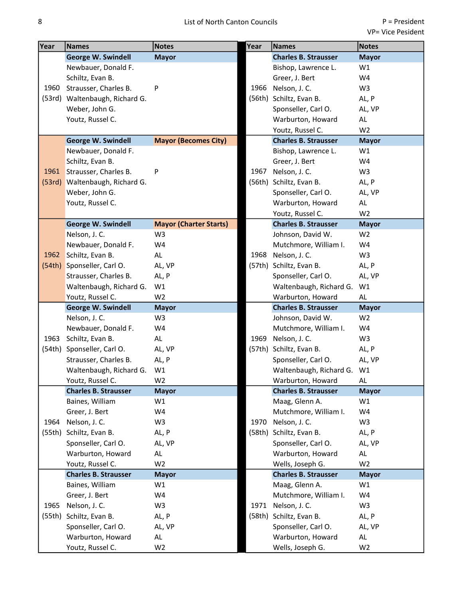| Year   | <b>Names</b>                   | <b>Notes</b>                  | Year   | <b>Names</b>                | <b>Notes</b>   |
|--------|--------------------------------|-------------------------------|--------|-----------------------------|----------------|
|        | <b>George W. Swindell</b>      | <b>Mayor</b>                  |        | <b>Charles B. Strausser</b> | <b>Mayor</b>   |
|        | Newbauer, Donald F.            |                               |        | Bishop, Lawrence L.         | W1             |
|        | Schiltz, Evan B.               |                               |        | Greer, J. Bert              | W4             |
| 1960   | Strausser, Charles B.          | P                             | 1966   | Nelson, J. C.               | W <sub>3</sub> |
|        | (53rd) Waltenbaugh, Richard G. |                               |        | (56th) Schiltz, Evan B.     | AL, P          |
|        | Weber, John G.                 |                               |        | Sponseller, Carl O.         | AL, VP         |
|        | Youtz, Russel C.               |                               |        | Warburton, Howard           | AL             |
|        |                                |                               |        | Youtz, Russel C.            | W <sub>2</sub> |
|        | <b>George W. Swindell</b>      | <b>Mayor (Becomes City)</b>   |        | <b>Charles B. Strausser</b> | <b>Mayor</b>   |
|        | Newbauer, Donald F.            |                               |        | Bishop, Lawrence L.         | W1             |
|        | Schiltz, Evan B.               |                               |        | Greer, J. Bert              | W4             |
| 1961   | Strausser, Charles B.          | P                             | 1967   | Nelson, J. C.               | W <sub>3</sub> |
|        | (53rd) Waltenbaugh, Richard G. |                               |        | (56th) Schiltz, Evan B.     | AL, P          |
|        | Weber, John G.                 |                               |        | Sponseller, Carl O.         | AL, VP         |
|        | Youtz, Russel C.               |                               |        | Warburton, Howard           | AL             |
|        |                                |                               |        | Youtz, Russel C.            | W <sub>2</sub> |
|        | <b>George W. Swindell</b>      | <b>Mayor (Charter Starts)</b> |        | <b>Charles B. Strausser</b> | <b>Mayor</b>   |
|        | Nelson, J. C.                  | W <sub>3</sub>                |        | Johnson, David W.           | W <sub>2</sub> |
|        | Newbauer, Donald F.            | W4                            |        | Mutchmore, William I.       | W4             |
| 1962   | Schiltz, Evan B.               | AL                            | 1968   | Nelson, J. C.               | W <sub>3</sub> |
| (54th) | Sponseller, Carl O.            | AL, VP                        |        | (57th) Schiltz, Evan B.     | AL, P          |
|        | Strausser, Charles B.          | AL, P                         |        | Sponseller, Carl O.         | AL, VP         |
|        | Waltenbaugh, Richard G.        | W1                            |        | Waltenbaugh, Richard G.     | W1             |
|        | Youtz, Russel C.               | W <sub>2</sub>                |        | Warburton, Howard           | AL             |
|        | <b>George W. Swindell</b>      | <b>Mayor</b>                  |        | <b>Charles B. Strausser</b> | <b>Mayor</b>   |
|        | Nelson, J. C.                  | W3                            |        | Johnson, David W.           | W <sub>2</sub> |
|        | Newbauer, Donald F.            | W4                            |        | Mutchmore, William I.       | W4             |
| 1963   | Schiltz, Evan B.               | AL                            | 1969   | Nelson, J. C.               | W <sub>3</sub> |
|        | (54th) Sponseller, Carl O.     | AL, VP                        | (57th) | Schiltz, Evan B.            | AL, P          |
|        | Strausser, Charles B.          | AL, P                         |        | Sponseller, Carl O.         | AL, VP         |
|        | Waltenbaugh, Richard G.        | W1                            |        | Waltenbaugh, Richard G. W1  |                |
|        | Youtz, Russel C.               | W <sub>2</sub>                |        | Warburton, Howard           | AL             |
|        | <b>Charles B. Strausser</b>    | <b>Mayor</b>                  |        | <b>Charles B. Strausser</b> | <b>Mayor</b>   |
|        | Baines, William                | W1                            |        | Maag, Glenn A.              | W1             |
|        | Greer, J. Bert                 | W4                            |        | Mutchmore, William I.       | W4             |
| 1964   | Nelson, J. C.                  | W3                            | 1970   | Nelson, J. C.               | W <sub>3</sub> |
| (55th) | Schiltz, Evan B.               | AL, P                         |        | (58th) Schiltz, Evan B.     | AL, P          |
|        | Sponseller, Carl O.            | AL, VP                        |        | Sponseller, Carl O.         | AL, VP         |
|        | Warburton, Howard              | AL                            |        | Warburton, Howard           | AL             |
|        | Youtz, Russel C.               | W <sub>2</sub>                |        | Wells, Joseph G.            | W <sub>2</sub> |
|        | <b>Charles B. Strausser</b>    | <b>Mayor</b>                  |        | <b>Charles B. Strausser</b> | <b>Mayor</b>   |
|        | Baines, William                | W1                            |        | Maag, Glenn A.              | W1             |
|        | Greer, J. Bert                 | W4                            |        | Mutchmore, William I.       | W4             |
| 1965   | Nelson, J. C.                  | W <sub>3</sub>                | 1971   | Nelson, J. C.               | W <sub>3</sub> |
| (55th) | Schiltz, Evan B.               | AL, P                         | (58th) | Schiltz, Evan B.            | AL, P          |
|        | Sponseller, Carl O.            | AL, VP                        |        | Sponseller, Carl O.         | AL, VP         |
|        | Warburton, Howard              | AL                            |        | Warburton, Howard           | AL             |
|        | Youtz, Russel C.               | W <sub>2</sub>                |        | Wells, Joseph G.            | W <sub>2</sub> |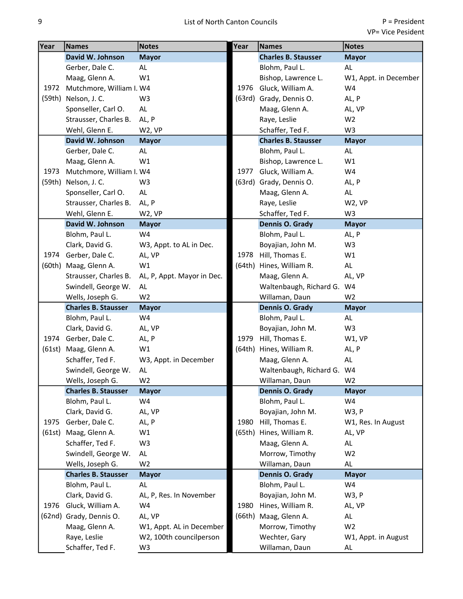| Year   | <b>Names</b>               | <b>Notes</b>               | Year | <b>Names</b>               | <b>Notes</b>          |
|--------|----------------------------|----------------------------|------|----------------------------|-----------------------|
|        | David W. Johnson           | <b>Mayor</b>               |      | <b>Charles B. Stausser</b> | <b>Mayor</b>          |
|        | Gerber, Dale C.            | AL                         |      | Blohm, Paul L.             | AL                    |
|        | Maag, Glenn A.             | W1                         |      | Bishop, Lawrence L.        | W1, Appt. in December |
| 1972   | Mutchmore, William I. W4   |                            | 1976 | Gluck, William A.          | W4                    |
|        | (59th) Nelson, J. C.       | W <sub>3</sub>             |      | (63rd) Grady, Dennis O.    | AL, P                 |
|        | Sponseller, Carl O.        | AL                         |      | Maag, Glenn A.             | AL, VP                |
|        | Strausser, Charles B.      | AL, P                      |      | Raye, Leslie               | W <sub>2</sub>        |
|        | Wehl, Glenn E.             | W2, VP                     |      | Schaffer, Ted F.           | W <sub>3</sub>        |
|        | David W. Johnson           | <b>Mayor</b>               |      | <b>Charles B. Stausser</b> | <b>Mayor</b>          |
|        | Gerber, Dale C.            | AL                         |      | Blohm, Paul L.             | AL                    |
|        | Maag, Glenn A.             | W1                         |      | Bishop, Lawrence L.        | W1                    |
| 1973   | Mutchmore, William I. W4   |                            | 1977 | Gluck, William A.          | W4                    |
|        | (59th) Nelson, J. C.       | W <sub>3</sub>             |      | (63rd) Grady, Dennis O.    | AL, P                 |
|        | Sponseller, Carl O.        | <b>AL</b>                  |      | Maag, Glenn A.             | AL                    |
|        | Strausser, Charles B.      | AL, P                      |      | Raye, Leslie               | W2, VP                |
|        | Wehl, Glenn E.             | W2, VP                     |      | Schaffer, Ted F.           | W3                    |
|        | David W. Johnson           | <b>Mayor</b>               |      | Dennis O. Grady            | <b>Mayor</b>          |
|        | Blohm, Paul L.             | W4                         |      | Blohm, Paul L.             | AL, P                 |
|        | Clark, David G.            | W3, Appt. to AL in Dec.    |      | Boyajian, John M.          | W <sub>3</sub>        |
| 1974   | Gerber, Dale C.            | AL, VP                     | 1978 | Hill, Thomas E.            | W1                    |
|        | (60th) Maag, Glenn A.      | W1                         |      | (64th) Hines, William R.   | AL                    |
|        | Strausser, Charles B.      | AL, P, Appt. Mayor in Dec. |      | Maag, Glenn A.             | AL, VP                |
|        | Swindell, George W.        | AL                         |      | Waltenbaugh, Richard G. W4 |                       |
|        | Wells, Joseph G.           | W <sub>2</sub>             |      | Willaman, Daun             | W <sub>2</sub>        |
|        | <b>Charles B. Stausser</b> | <b>Mayor</b>               |      | Dennis O. Grady            | <b>Mayor</b>          |
|        | Blohm, Paul L.             | W4                         |      | Blohm, Paul L.             | AL                    |
|        | Clark, David G.            | AL, VP                     |      | Boyajian, John M.          | W <sub>3</sub>        |
|        | 1974 Gerber, Dale C.       | AL, P                      |      | 1979 Hill, Thomas E.       | W1, VP                |
| (61st) | Maag, Glenn A.             | W1                         |      | (64th) Hines, William R.   | AL, P                 |
|        | Schaffer, Ted F.           | W3, Appt. in December      |      | Maag, Glenn A.             | AL                    |
|        | Swindell, George W.        | AL.                        |      | Waltenbaugh, Richard G. W4 |                       |
|        | Wells, Joseph G.           | W <sub>2</sub>             |      | Willaman, Daun             | W <sub>2</sub>        |
|        | <b>Charles B. Stausser</b> | <b>Mayor</b>               |      | Dennis O. Grady            | <b>Mayor</b>          |
|        | Blohm, Paul L.             | W4                         |      | Blohm, Paul L.             | W4                    |
|        | Clark, David G.            | AL, VP                     |      | Boyajian, John M.          | W3, P                 |
| 1975   | Gerber, Dale C.            | AL, P                      | 1980 | Hill, Thomas E.            | W1, Res. In August    |
| (61st) | Maag, Glenn A.             | W1                         |      | (65th) Hines, William R.   | AL, VP                |
|        | Schaffer, Ted F.           | W3                         |      | Maag, Glenn A.             | AL                    |
|        | Swindell, George W.        | AL                         |      | Morrow, Timothy            | W <sub>2</sub>        |
|        | Wells, Joseph G.           | W <sub>2</sub>             |      | Willaman, Daun             | AL                    |
|        | <b>Charles B. Stausser</b> | <b>Mayor</b>               |      | Dennis O. Grady            | <b>Mayor</b>          |
|        | Blohm, Paul L.             | AL                         |      | Blohm, Paul L.             | W4                    |
|        | Clark, David G.            | AL, P, Res. In November    |      | Boyajian, John M.          | W3, P                 |
| 1976   | Gluck, William A.          | W4                         | 1980 | Hines, William R.          | AL, VP                |
|        | (62nd) Grady, Dennis O.    | AL, VP                     |      | (66th) Maag, Glenn A.      | AL                    |
|        | Maag, Glenn A.             | W1, Appt. AL in December   |      | Morrow, Timothy            | W <sub>2</sub>        |
|        | Raye, Leslie               | W2, 100th councilperson    |      | Wechter, Gary              | W1, Appt. in August   |
|        | Schaffer, Ted F.           | W3                         |      | Willaman, Daun             | AL                    |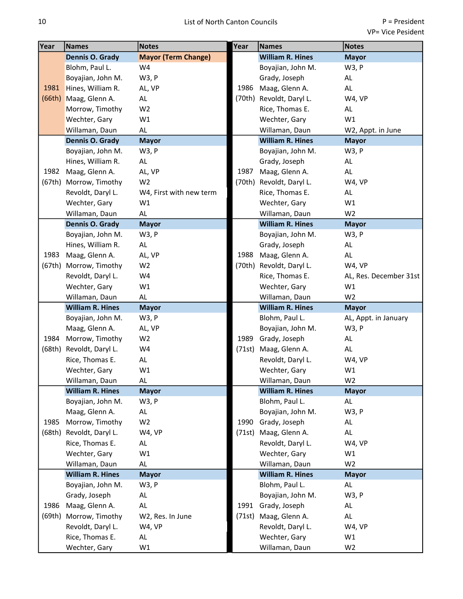| Year   | <b>Names</b>            | <b>Notes</b>               | Year   | <b>Names</b>             | <b>Notes</b>           |
|--------|-------------------------|----------------------------|--------|--------------------------|------------------------|
|        | Dennis O. Grady         | <b>Mayor (Term Change)</b> |        | <b>William R. Hines</b>  | <b>Mayor</b>           |
|        | Blohm, Paul L.          | W4                         |        | Boyajian, John M.        | W3, P                  |
|        | Boyajian, John M.       | W3, P                      |        | Grady, Joseph            | AL.                    |
| 1981   | Hines, William R.       | AL, VP                     | 1986   | Maag, Glenn A.           | AL                     |
| (66th) | Maag, Glenn A.          | AL                         |        | (70th) Revoldt, Daryl L. | W4, VP                 |
|        | Morrow, Timothy         | W <sub>2</sub>             |        | Rice, Thomas E.          | AL                     |
|        | Wechter, Gary           | W1                         |        | Wechter, Gary            | W1                     |
|        | Willaman, Daun          | AL                         |        | Willaman, Daun           | W2, Appt. in June      |
|        | Dennis O. Grady         | <b>Mayor</b>               |        | <b>William R. Hines</b>  | <b>Mayor</b>           |
|        | Boyajian, John M.       | W3, P                      |        | Boyajian, John M.        | W3, P                  |
|        | Hines, William R.       | $\mathsf{AL}$              |        | Grady, Joseph            | AL                     |
| 1982   | Maag, Glenn A.          | AL, VP                     | 1987   | Maag, Glenn A.           | AL                     |
|        | (67th) Morrow, Timothy  | W <sub>2</sub>             |        | (70th) Revoldt, Daryl L. | W4, VP                 |
|        | Revoldt, Daryl L.       | W4, First with new term    |        | Rice, Thomas E.          | AL                     |
|        | Wechter, Gary           | W1                         |        | Wechter, Gary            | W1                     |
|        | Willaman, Daun          | AL                         |        | Willaman, Daun           | W <sub>2</sub>         |
|        | <b>Dennis O. Grady</b>  | <b>Mayor</b>               |        | <b>William R. Hines</b>  | <b>Mayor</b>           |
|        | Boyajian, John M.       | W3, P                      |        | Boyajian, John M.        | W3, P                  |
|        | Hines, William R.       | <b>AL</b>                  |        | Grady, Joseph            | AL                     |
| 1983   | Maag, Glenn A.          | AL, VP                     | 1988   | Maag, Glenn A.           | AL                     |
|        | (67th) Morrow, Timothy  | W <sub>2</sub>             |        | (70th) Revoldt, Daryl L. | W4, VP                 |
|        | Revoldt, Daryl L.       | W4                         |        | Rice, Thomas E.          | AL, Res. December 31st |
|        | Wechter, Gary           | W1                         |        | Wechter, Gary            | W1                     |
|        | Willaman, Daun          | <b>AL</b>                  |        | Willaman, Daun           | W <sub>2</sub>         |
|        | <b>William R. Hines</b> | <b>Mayor</b>               |        | <b>William R. Hines</b>  | <b>Mayor</b>           |
|        | Boyajian, John M.       | W3, P                      |        | Blohm, Paul L.           | AL, Appt. in January   |
|        | Maag, Glenn A.          | AL, VP                     |        | Boyajian, John M.        | W3, P                  |
| 1984   | Morrow, Timothy         | W <sub>2</sub>             | 1989   | Grady, Joseph            | AL                     |
| (68th) | Revoldt, Daryl L.       | W4                         | (71st) | Maag, Glenn A.           | AL                     |
|        | Rice, Thomas E.         | AL                         |        | Revoldt, Daryl L.        | W4, VP                 |
|        | Wechter, Gary           | W1                         |        | Wechter, Gary            | W1                     |
|        | Willaman, Daun          | AL                         |        | Willaman, Daun           | W <sub>2</sub>         |
|        | <b>William R. Hines</b> | <b>Mayor</b>               |        | <b>William R. Hines</b>  | <b>Mayor</b>           |
|        | Boyajian, John M.       | W3, P                      |        | Blohm, Paul L.           | AL                     |
|        | Maag, Glenn A.          | AL                         |        | Boyajian, John M.        | W3, P                  |
| 1985   | Morrow, Timothy         | W <sub>2</sub>             | 1990   | Grady, Joseph            | AL                     |
| (68th) | Revoldt, Daryl L.       | W4, VP                     |        | (71st) Maag, Glenn A.    | AL                     |
|        | Rice, Thomas E.         | AL.                        |        | Revoldt, Daryl L.        | W4, VP                 |
|        | Wechter, Gary           | W1                         |        | Wechter, Gary            | W1                     |
|        | Willaman, Daun          | <b>AL</b>                  |        | Willaman, Daun           | W <sub>2</sub>         |
|        | <b>William R. Hines</b> | <b>Mayor</b>               |        | <b>William R. Hines</b>  | <b>Mayor</b>           |
|        | Boyajian, John M.       | W3, P                      |        | Blohm, Paul L.           | AL                     |
|        | Grady, Joseph           | AL                         |        | Boyajian, John M.        | W3, P                  |
| 1986   | Maag, Glenn A.          | AL                         |        | 1991 Grady, Joseph       | AL                     |
| (69th) | Morrow, Timothy         | W2, Res. In June           | (71st) | Maag, Glenn A.           | AL                     |
|        | Revoldt, Daryl L.       | W4, VP                     |        | Revoldt, Daryl L.        | W4, VP                 |
|        | Rice, Thomas E.         | AL                         |        | Wechter, Gary            | W1                     |
|        | Wechter, Gary           | W1                         |        | Willaman, Daun           | W <sub>2</sub>         |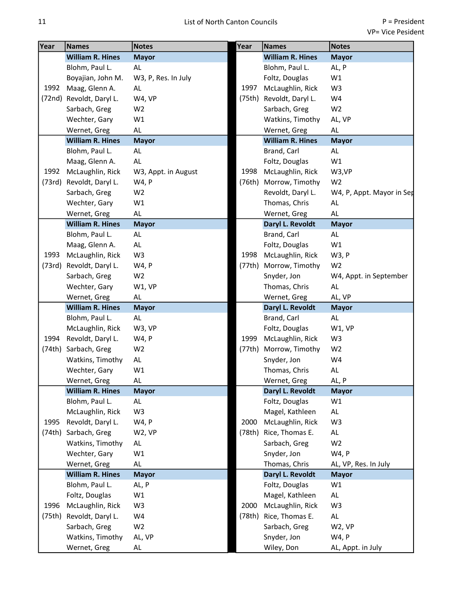| Year   | <b>Names</b>             | <b>Notes</b>        | Year   | <b>Names</b>            | <b>Notes</b>              |
|--------|--------------------------|---------------------|--------|-------------------------|---------------------------|
|        | <b>William R. Hines</b>  | <b>Mayor</b>        |        | <b>William R. Hines</b> | <b>Mayor</b>              |
|        | Blohm, Paul L.           | AL.                 |        | Blohm, Paul L.          | AL, P                     |
|        | Boyajian, John M.        | W3, P, Res. In July |        | Foltz, Douglas          | W1                        |
| 1992   | Maag, Glenn A.           | AL.                 | 1997   | McLaughlin, Rick        | W3                        |
|        | (72nd) Revoldt, Daryl L. | W4, VP              | (75th) | Revoldt, Daryl L.       | W4                        |
|        | Sarbach, Greg            | W <sub>2</sub>      |        | Sarbach, Greg           | W <sub>2</sub>            |
|        | Wechter, Gary            | W1                  |        | Watkins, Timothy        | AL, VP                    |
|        | Wernet, Greg             | AL.                 |        | Wernet, Greg            | AL.                       |
|        | <b>William R. Hines</b>  | <b>Mayor</b>        |        | <b>William R. Hines</b> | <b>Mayor</b>              |
|        | Blohm, Paul L.           | AL.                 |        | Brand, Carl             | AL                        |
|        | Maag, Glenn A.           | <b>AL</b>           |        | Foltz, Douglas          | W1                        |
| 1992   | McLaughlin, Rick         | W3, Appt. in August | 1998   | McLaughlin, Rick        | W3,VP                     |
|        | (73rd) Revoldt, Daryl L. | W4, P               |        | (76th) Morrow, Timothy  | W <sub>2</sub>            |
|        | Sarbach, Greg            | W <sub>2</sub>      |        | Revoldt, Daryl L.       | W4, P, Appt. Mayor in Sed |
|        | Wechter, Gary            | W1                  |        | Thomas, Chris           | AL                        |
|        | Wernet, Greg             | AL.                 |        | Wernet, Greg            | <b>AL</b>                 |
|        | <b>William R. Hines</b>  | <b>Mayor</b>        |        | Daryl L. Revoldt        | <b>Mayor</b>              |
|        | Blohm, Paul L.           | $\mathsf{AL}$       |        | Brand, Carl             | AL                        |
|        | Maag, Glenn A.           | <b>AL</b>           |        | Foltz, Douglas          | W1                        |
| 1993   | McLaughlin, Rick         | W <sub>3</sub>      | 1998   | McLaughlin, Rick        | W3, P                     |
| (73rd) | Revoldt, Daryl L.        | W4, P               | (77th) | Morrow, Timothy         | W <sub>2</sub>            |
|        | Sarbach, Greg            | W <sub>2</sub>      |        | Snyder, Jon             | W4, Appt. in September    |
|        | Wechter, Gary            | W1, VP              |        | Thomas, Chris           | AL                        |
|        | Wernet, Greg             | AL.                 |        | Wernet, Greg            | AL, VP                    |
|        | <b>William R. Hines</b>  | <b>Mayor</b>        |        | Daryl L. Revoldt        | <b>Mayor</b>              |
|        | Blohm, Paul L.           | AL                  |        | Brand, Carl             | AL                        |
|        | McLaughlin, Rick         | W3, VP              |        | Foltz, Douglas          | W1, VP                    |
| 1994   | Revoldt, Daryl L.        | W4, P               | 1999   | McLaughlin, Rick        | W <sub>3</sub>            |
| (74th) | Sarbach, Greg            | W <sub>2</sub>      | (77th) | Morrow, Timothy         | W <sub>2</sub>            |
|        | Watkins, Timothy         | AL                  |        | Snyder, Jon             | W4                        |
|        | Wechter, Gary            | W1                  |        | Thomas, Chris           | AL                        |
|        | Wernet, Greg             | AL                  |        | Wernet, Greg            | AL, P                     |
|        | <b>William R. Hines</b>  | <b>Mayor</b>        |        | Daryl L. Revoldt        | <b>Mayor</b>              |
|        | Blohm, Paul L.           | AL                  |        | Foltz, Douglas          | W1                        |
|        | McLaughlin, Rick         | W <sub>3</sub>      |        | Magel, Kathleen         | AL                        |
| 1995   | Revoldt, Daryl L.        | W4, P               | 2000   | McLaughlin, Rick        | W <sub>3</sub>            |
| (74th) | Sarbach, Greg            | W2, VP              | (78th) | Rice, Thomas E.         | AL                        |
|        | Watkins, Timothy         | AL                  |        | Sarbach, Greg           | W <sub>2</sub>            |
|        | Wechter, Gary            | W1                  |        | Snyder, Jon             | W4, P                     |
|        | Wernet, Greg             | AL                  |        | Thomas, Chris           | AL, VP, Res. In July      |
|        | <b>William R. Hines</b>  | <b>Mayor</b>        |        | Daryl L. Revoldt        | <b>Mayor</b>              |
|        | Blohm, Paul L.           | AL, P               |        | Foltz, Douglas          | W1                        |
|        | Foltz, Douglas           | W1                  |        | Magel, Kathleen         | AL                        |
| 1996   | McLaughlin, Rick         | W <sub>3</sub>      | 2000   | McLaughlin, Rick        | W <sub>3</sub>            |
| (75th) | Revoldt, Daryl L.        | W4                  | (78th) | Rice, Thomas E.         | AL                        |
|        | Sarbach, Greg            | W <sub>2</sub>      |        | Sarbach, Greg           | W2, VP                    |
|        | Watkins, Timothy         | AL, VP              |        | Snyder, Jon             | W4, P                     |
|        | Wernet, Greg             | AL                  |        | Wiley, Don              | AL, Appt. in July         |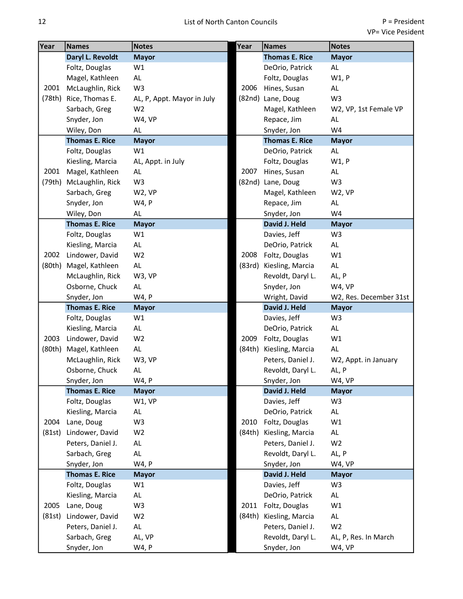| Year   | <b>Names</b>          | <b>Notes</b>               | Year   | <b>Names</b>          | <b>Notes</b>           |
|--------|-----------------------|----------------------------|--------|-----------------------|------------------------|
|        | Daryl L. Revoldt      | <b>Mayor</b>               |        | <b>Thomas E. Rice</b> | <b>Mayor</b>           |
|        | Foltz, Douglas        | W1                         |        | DeOrio, Patrick       | AL                     |
|        | Magel, Kathleen       | AL                         |        | Foltz, Douglas        | W1, P                  |
| 2001   | McLaughlin, Rick      | W <sub>3</sub>             | 2006   | Hines, Susan          | AL                     |
| (78th) | Rice, Thomas E.       | AL, P, Appt. Mayor in July |        | (82nd) Lane, Doug     | W <sub>3</sub>         |
|        | Sarbach, Greg         | W <sub>2</sub>             |        | Magel, Kathleen       | W2, VP, 1st Female VP  |
|        | Snyder, Jon           | W4, VP                     |        | Repace, Jim           | AL.                    |
|        | Wiley, Don            | AL                         |        | Snyder, Jon           | W4                     |
|        | <b>Thomas E. Rice</b> | <b>Mayor</b>               |        | <b>Thomas E. Rice</b> | <b>Mayor</b>           |
|        | Foltz, Douglas        | W1                         |        | DeOrio, Patrick       | AL                     |
|        | Kiesling, Marcia      | AL, Appt. in July          |        | Foltz, Douglas        | W1, P                  |
| 2001   | Magel, Kathleen       | AL                         | 2007   | Hines, Susan          | AL                     |
| (79th) | McLaughlin, Rick      | W <sub>3</sub>             |        | (82nd) Lane, Doug     | W <sub>3</sub>         |
|        | Sarbach, Greg         | W2, VP                     |        | Magel, Kathleen       | W2, VP                 |
|        | Snyder, Jon           | W4, P                      |        | Repace, Jim           | AL                     |
|        | Wiley, Don            | AL                         |        | Snyder, Jon           | W4                     |
|        | <b>Thomas E. Rice</b> | <b>Mayor</b>               |        | David J. Held         | <b>Mayor</b>           |
|        | Foltz, Douglas        | W1                         |        | Davies, Jeff          | W <sub>3</sub>         |
|        | Kiesling, Marcia      | AL.                        |        | DeOrio, Patrick       | AL                     |
| 2002   | Lindower, David       | W <sub>2</sub>             | 2008   | Foltz, Douglas        | W1                     |
| (80th) | Magel, Kathleen       | AL.                        | (83rd) | Kiesling, Marcia      | AL.                    |
|        | McLaughlin, Rick      | W3, VP                     |        | Revoldt, Daryl L.     | AL, P                  |
|        | Osborne, Chuck        | AL.                        |        | Snyder, Jon           | W4, VP                 |
|        | Snyder, Jon           | W4, P                      |        | Wright, David         | W2, Res. December 31st |
|        | <b>Thomas E. Rice</b> | <b>Mayor</b>               |        | David J. Held         | <b>Mayor</b>           |
|        | Foltz, Douglas        | W1                         |        | Davies, Jeff          | W <sub>3</sub>         |
|        | Kiesling, Marcia      | AL                         |        | DeOrio, Patrick       | AL                     |
| 2003   | Lindower, David       | W <sub>2</sub>             | 2009   | Foltz, Douglas        | W1                     |
| (80th) | Magel, Kathleen       | $\mathsf{AL}$              | (84th) | Kiesling, Marcia      | AL.                    |
|        | McLaughlin, Rick      | W3, VP                     |        | Peters, Daniel J.     | W2, Appt. in January   |
|        | Osborne, Chuck        | AL                         |        | Revoldt, Daryl L.     | AL, P                  |
|        | Snyder, Jon           | W4, P                      |        | Snyder, Jon           | W4, VP                 |
|        | <b>Thomas E. Rice</b> | <b>Mayor</b>               |        | David J. Held         | <b>Mayor</b>           |
|        | Foltz, Douglas        | W1, VP                     |        | Davies, Jeff          | W <sub>3</sub>         |
|        | Kiesling, Marcia      | AL                         |        | DeOrio, Patrick       | AL                     |
| 2004   | Lane, Doug            | W <sub>3</sub>             | 2010   | Foltz, Douglas        | W1                     |
| (81st) | Lindower, David       | W <sub>2</sub>             | (84th) | Kiesling, Marcia      | <b>AL</b>              |
|        | Peters, Daniel J.     | AL                         |        | Peters, Daniel J.     | W <sub>2</sub>         |
|        | Sarbach, Greg         | AL                         |        | Revoldt, Daryl L.     | AL, P                  |
|        | Snyder, Jon           | W4, P                      |        | Snyder, Jon           | W4, VP                 |
|        | <b>Thomas E. Rice</b> | <b>Mayor</b>               |        | David J. Held         | <b>Mayor</b>           |
|        | Foltz, Douglas        | W1                         |        | Davies, Jeff          | W <sub>3</sub>         |
|        | Kiesling, Marcia      | AL                         |        | DeOrio, Patrick       | AL                     |
| 2005   | Lane, Doug            | W3                         | 2011   | Foltz, Douglas        | W1                     |
| (81st) | Lindower, David       | W <sub>2</sub>             | (84th) | Kiesling, Marcia      | AL                     |
|        | Peters, Daniel J.     | AL.                        |        | Peters, Daniel J.     | W <sub>2</sub>         |
|        | Sarbach, Greg         | AL, VP                     |        | Revoldt, Daryl L.     | AL, P, Res. In March   |
|        | Snyder, Jon           | W4, P                      |        | Snyder, Jon           | W4, VP                 |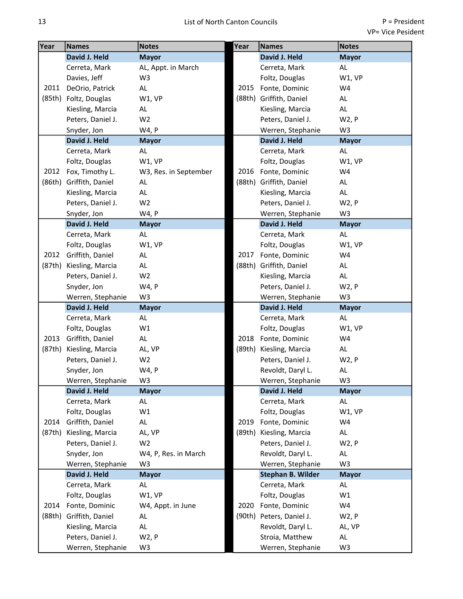| Year         | <b>Names</b>          | <b>Notes</b>          | Year   | <b>Names</b>             | <b>Notes</b>   |
|--------------|-----------------------|-----------------------|--------|--------------------------|----------------|
|              | David J. Held         | <b>Mayor</b>          |        | David J. Held            | <b>Mayor</b>   |
|              | Cerreta, Mark         | AL, Appt. in March    |        | Cerreta, Mark            | AL             |
|              | Davies, Jeff          | W <sub>3</sub>        |        | Foltz, Douglas           | W1, VP         |
| 2011         | DeOrio, Patrick       | AL                    | 2015   | Fonte, Dominic           | W4             |
|              | (85th) Foltz, Douglas | W1, VP                |        | (88th) Griffith, Daniel  | AL             |
|              | Kiesling, Marcia      | AL                    |        | Kiesling, Marcia         | AL             |
|              | Peters, Daniel J.     | W <sub>2</sub>        |        | Peters, Daniel J.        | W2, P          |
|              | Snyder, Jon           | W4, P                 |        | Werren, Stephanie        | W <sub>3</sub> |
|              | David J. Held         | <b>Mayor</b>          |        | David J. Held            | <b>Mayor</b>   |
|              | Cerreta, Mark         | AL                    |        | Cerreta, Mark            | AL             |
|              | Foltz, Douglas        | W1, VP                |        | Foltz, Douglas           | W1, VP         |
| 2012         | Fox, Timothy L.       | W3, Res. in September |        | 2016 Fonte, Dominic      | W4             |
| (86th)       | Griffith, Daniel      | AL                    | (88th) | Griffith, Daniel         | AL             |
|              | Kiesling, Marcia      | AL                    |        | Kiesling, Marcia         | AL             |
|              | Peters, Daniel J.     | W <sub>2</sub>        |        | Peters, Daniel J.        | W2, P          |
|              | Snyder, Jon           | W4, P                 |        | Werren, Stephanie        | W <sub>3</sub> |
|              | David J. Held         | <b>Mayor</b>          |        | David J. Held            | <b>Mayor</b>   |
|              | Cerreta, Mark         | AL                    |        | Cerreta, Mark            | AL.            |
|              | Foltz, Douglas        | W1, VP                |        | Foltz, Douglas           | W1, VP         |
| 2012         | Griffith, Daniel      | AL                    | 2017   | Fonte, Dominic           | W4             |
| (87th)       | Kiesling, Marcia      | AL                    | (88th) | Griffith, Daniel         | AL             |
|              | Peters, Daniel J.     | W <sub>2</sub>        |        | Kiesling, Marcia         | AL             |
|              | Snyder, Jon           | W4, P                 |        | Peters, Daniel J.        | W2, P          |
|              | Werren, Stephanie     | W <sub>3</sub>        |        | Werren, Stephanie        | W <sub>3</sub> |
|              | David J. Held         | <b>Mayor</b>          |        | David J. Held            | <b>Mayor</b>   |
|              | Cerreta, Mark         | AL                    |        | Cerreta, Mark            | AL             |
|              | Foltz, Douglas        | W1                    |        | Foltz, Douglas           | W1, VP         |
| 2013         | Griffith, Daniel      | AL                    |        | 2018 Fonte, Dominic      | W4             |
| (87th)       | Kiesling, Marcia      | AL, VP                |        | (89th) Kiesling, Marcia  | AL             |
|              | Peters, Daniel J.     | W <sub>2</sub>        |        | Peters, Daniel J.        | W2, P          |
|              | Snyder, Jon           | W4, P                 |        | Revoldt, Daryl L.        | AL             |
|              | Werren, Stephanie     | W <sub>3</sub>        |        | Werren, Stephanie        | W <sub>3</sub> |
| 2014<br>2014 | David J. Held         | <b>Mayor</b>          |        | David J. Held            | <b>Mayor</b>   |
|              | Cerreta, Mark         | AL                    |        | Cerreta, Mark            | AL             |
|              | Foltz, Douglas        | W1                    |        | Foltz, Douglas           | W1, VP         |
|              | Griffith, Daniel      | AL                    | 2019   | Fonte, Dominic           | W4             |
| (87th)       | Kiesling, Marcia      | AL, VP                | (89th) | Kiesling, Marcia         | AL             |
|              | Peters, Daniel J.     | W <sub>2</sub>        |        | Peters, Daniel J.        | W2, P          |
|              | Snyder, Jon           | W4, P, Res. in March  |        | Revoldt, Daryl L.        | AL             |
|              | Werren, Stephanie     | W <sub>3</sub>        |        | Werren, Stephanie        | W <sub>3</sub> |
|              | David J. Held         | <b>Mayor</b>          |        | <b>Stephan B. Wilder</b> | <b>Mayor</b>   |
|              | Cerreta, Mark         | AL                    |        | Cerreta, Mark            | AL             |
|              | Foltz, Douglas        | W1, VP                |        | Foltz, Douglas           | W1             |
|              | Fonte, Dominic        | W4, Appt. in June     | 2020   | Fonte, Dominic           | W4             |
| (88th)       | Griffith, Daniel      | AL                    |        | (90th) Peters, Daniel J. | W2, P          |
|              | Kiesling, Marcia      | AL                    |        | Revoldt, Daryl L.        | AL, VP         |
|              | Peters, Daniel J.     | W2, P                 |        | Stroia, Matthew          | AL             |
|              | Werren, Stephanie     | W3                    |        | Werren, Stephanie        | W <sub>3</sub> |